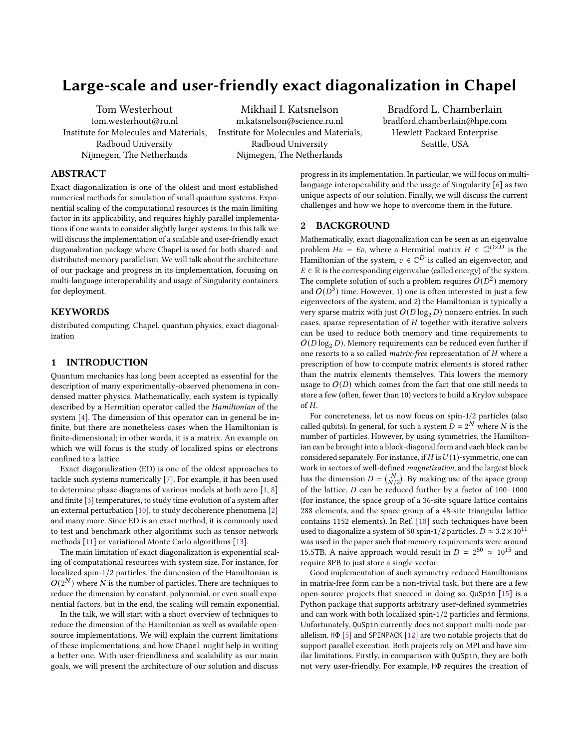# Large-scale and user-friendly exact diagonalization in Chapel

Tom Westerhout tom.westerhout@ru.nl Institute for Molecules and Materials, Radboud University Nijmegen, The Netherlands

Mikhail I. Katsnelson m.katsnelson@science.ru.nl Institute for Molecules and Materials, Radboud University Nijmegen, The Netherlands

Bradford L. Chamberlain bradford.chamberlain@hpe.com Hewlett Packard Enterprise Seattle, USA

# ABSTRACT

Exact diagonalization is one of the oldest and most established numerical methods for simulation of small quantum systems. Exponential scaling of the computational resources is the main limiting factor in its applicability, and requires highly parallel implementations if one wants to consider slightly larger systems. In this talk we will discuss the implementation of a scalable and user-friendly exact diagonalization package where Chapel is used for both shared- and distributed-memory parallelism. We will talk about the architecture of our package and progress in its implementation, focusing on multi-language interoperability and usage of Singularity containers for deployment.

# **KEYWORDS**

distributed computing, Chapel, quantum physics, exact diagonalization

## 1 INTRODUCTION

Quantum mechanics has long been accepted as essential for the description of many experimentally-observed phenomena in condensed matter physics. Mathematically, each system is typically described by a Hermitian operator called the Hamiltonian of the system [\[4\]](#page-2-0). The dimension of this operator can in general be infinite, but there are nonetheless cases when the Hamiltonian is finite-dimensional; in other words, it is a matrix. An example on which we will focus is the study of localized spins or electrons confined to a lattice.

Exact diagonalization (ED) is one of the oldest approaches to tackle such systems numerically [\[7\]](#page-2-1). For example, it has been used to determine phase diagrams of various models at both zero [\[1,](#page-2-2) [8\]](#page-2-3) and finite [\[3\]](#page-2-4) temperatures, to study time evolution of a system after an external perturbation [\[10\]](#page-2-5), to study decoherence phenomena [\[2\]](#page-2-6) and many more. Since ED is an exact method, it is commonly used to test and benchmark other algorithms such as tensor network methods [\[11\]](#page-2-7) or variational Monte Carlo algorithms [\[13\]](#page-2-8).

The main limitation of exact diagonalization is exponential scaling of computational resources with system size. For instance, for localized spin-1/2 particles, the dimension of the Hamiltonian is  $O(2^N)$  where N is the number of particles. There are techniques to reduce the dimension by constant, polynomial, or even small exponential factors, but in the end, the scaling will remain exponential.

In the talk, we will start with a short overview of techniques to reduce the dimension of the Hamiltonian as well as available opensource implementations. We will explain the current limitations of these implementations, and how Chapel might help in writing a better one. With user-friendliness and scalability as our main goals, we will present the architecture of our solution and discuss

progress in its implementation. In particular, we will focus on multilanguage interoperability and the usage of Singularity [\[6\]](#page-2-9) as two unique aspects of our solution. Finally, we will discuss the current challenges and how we hope to overcome them in the future.

## 2 BACKGROUND

Mathematically, exact diagonalization can be seen as an eigenvalue problem  $Hv = Ev$ , where a Hermitial matrix  $H \in \mathbb{C}^{D\times D}$  is the Hamiltonian of the system,  $v\in\mathbb{C}^D$  is called an eigenvector, and  $E \in \mathbb{R}$  is the corresponding eigenvalue (called energy) of the system. The complete solution of such a problem requires  $O(D^2)$  memory and  $O(D^3)$  time. However, 1) one is often interested in just a few eigenvectors of the system, and 2) the Hamiltonian is typically a very sparse matrix with just  $O(D \log_2 D)$  nonzero entries. In such cases, sparse representation of  $H$  together with iterative solvers can be used to reduce both memory and time requirements to  $O(D \log_2 D)$ . Memory requirements can be reduced even further if one resorts to a so called *matrix-free* representation of  $H$  where a prescription of how to compute matrix elements is stored rather than the matrix elements themselves. This lowers the memory usage to  $O(D)$  which comes from the fact that one still needs to store a few (often, fewer than 10) vectors to build a Krylov subspace of  $H$ .

For concreteness, let us now focus on spin-1/2 particles (also called qubits). In general, for such a system  $\overrightarrow{D} = 2^N$  where N is the number of particles. However, by using symmetries, the Hamiltonian can be brought into a block-diagonal form and each block can be considered separately. For instance, if  $H$  is  $U(1)$ -symmetric, one can work in sectors of well-defined magnetization, and the largest block has the dimension  $D = {N \choose N/2}$ . By making use of the space group of the lattice,  $D$  can be reduced further by a factor of 100–1000 (for instance, the space group of a 36-site square lattice contains 288 elements, and the space group of a 48-site triangular lattice contains 1152 elements). In Ref. [\[18\]](#page-2-10) such techniques have been used to diagonalize a system of 50 spin-1/2 particles.  $D \approx 3.2 \times 10^{11}$ was used in the paper such that memory requirements were around 15.5TB. A naive approach would result in  $D = 2^{50} \approx 10^{15}$  and require 8PB to just store a single vector.

Good implementation of such symmetry-reduced Hamiltonians in matrix-free form can be a non-trivial task, but there are a few open-source projects that succeed in doing so. QuSpin [\[15\]](#page-2-11) is a Python package that supports arbitrary user-defined symmetries and can work with both localized spin-1/2 particles and fermions. Unfortunately, QuSpin currently does not support multi-node parallelism. HΦ [\[5\]](#page-2-12) and SPINPACK [\[12\]](#page-2-13) are two notable projects that do support parallel execution. Both projects rely on MPI and have similar limitations. Firstly, in comparison with QuSpin, they are both not very user-friendly. For example, HΦ requires the creation of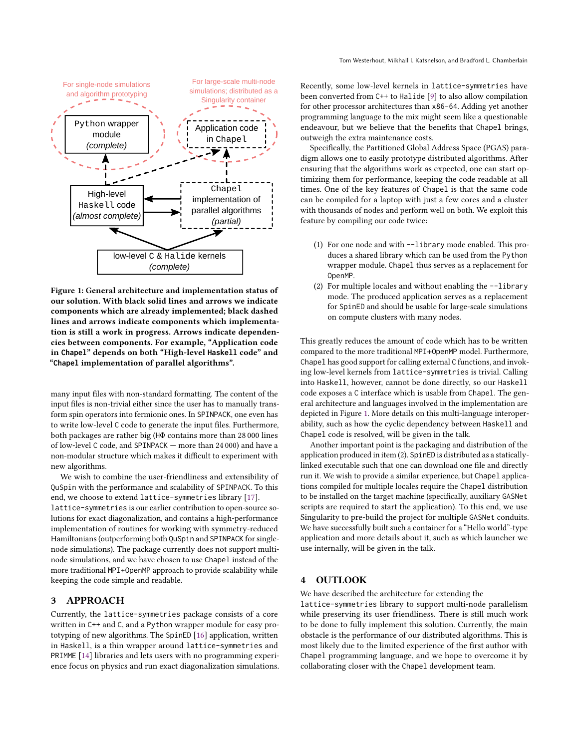<span id="page-1-0"></span>

Figure 1: General architecture and implementation status of our solution. With black solid lines and arrows we indicate components which are already implemented; black dashed lines and arrows indicate components which implementation is still a work in progress. Arrows indicate dependencies between components. For example, "Application code in **Chapel**" depends on both "High-level **Haskell** code" and "**Chapel** implementation of parallel algorithms".

many input files with non-standard formatting. The content of the input files is non-trivial either since the user has to manually transform spin operators into fermionic ones. In SPINPACK, one even has to write low-level C code to generate the input files. Furthermore, both packages are rather big (HΦ contains more than 28 000 lines of low-level C code, and SPINPACK — more than 24 000) and have a non-modular structure which makes it difficult to experiment with new algorithms.

We wish to combine the user-friendliness and extensibility of QuSpin with the performance and scalability of SPINPACK. To this end, we choose to extend lattice-symmetries library [\[17\]](#page-2-14). lattice-symmetries is our earlier contribution to open-source solutions for exact diagonalization, and contains a high-performance implementation of routines for working with symmetry-reduced Hamiltonians (outperforming both QuSpin and SPINPACK for singlenode simulations). The package currently does not support multinode simulations, and we have chosen to use Chapel instead of the more traditional MPI+OpenMP approach to provide scalability while keeping the code simple and readable.

#### 3 APPROACH

Currently, the lattice-symmetries package consists of a core written in C++ and C, and a Python wrapper module for easy prototyping of new algorithms. The SpinED [\[16\]](#page-2-15) application, written in Haskell, is a thin wrapper around lattice-symmetries and PRIMME [\[14\]](#page-2-16) libraries and lets users with no programming experience focus on physics and run exact diagonalization simulations. Recently, some low-level kernels in lattice-symmetries have been converted from C++ to Halide [\[9\]](#page-2-17) to also allow compilation for other processor architectures than x86-64. Adding yet another programming language to the mix might seem like a questionable endeavour, but we believe that the benefits that Chapel brings, outweigh the extra maintenance costs.

Specifically, the Partitioned Global Address Space (PGAS) paradigm allows one to easily prototype distributed algorithms. After ensuring that the algorithms work as expected, one can start optimizing them for performance, keeping the code readable at all times. One of the key features of Chapel is that the same code can be compiled for a laptop with just a few cores and a cluster with thousands of nodes and perform well on both. We exploit this feature by compiling our code twice:

- (1) For one node and with --library mode enabled. This produces a shared library which can be used from the Python wrapper module. Chapel thus serves as a replacement for OpenMP.
- (2) For multiple locales and without enabling the --library mode. The produced application serves as a replacement for SpinED and should be usable for large-scale simulations on compute clusters with many nodes.

This greatly reduces the amount of code which has to be written compared to the more traditional MPI+OpenMP model. Furthermore, Chapel has good support for calling external C functions, and invoking low-level kernels from lattice-symmetries is trivial. Calling into Haskell, however, cannot be done directly, so our Haskell code exposes a C interface which is usable from Chapel. The general architecture and languages involved in the implementation are depicted in Figure [1.](#page-1-0) More details on this multi-language interoperability, such as how the cyclic dependency between Haskell and Chapel code is resolved, will be given in the talk.

Another important point is the packaging and distribution of the application produced in item (2). SpinED is distributed as a staticallylinked executable such that one can download one file and directly run it. We wish to provide a similar experience, but Chapel applications compiled for multiple locales require the Chapel distribution to be installed on the target machine (specifically, auxiliary GASNet scripts are required to start the application). To this end, we use Singularity to pre-build the project for multiple GASNet conduits. We have successfully built such a container for a "Hello world"-type application and more details about it, such as which launcher we use internally, will be given in the talk.

# 4 OUTLOOK

We have described the architecture for extending the

lattice-symmetries library to support multi-node parallelism while preserving its user friendliness. There is still much work to be done to fully implement this solution. Currently, the main obstacle is the performance of our distributed algorithms. This is most likely due to the limited experience of the first author with Chapel programming language, and we hope to overcome it by collaborating closer with the Chapel development team.